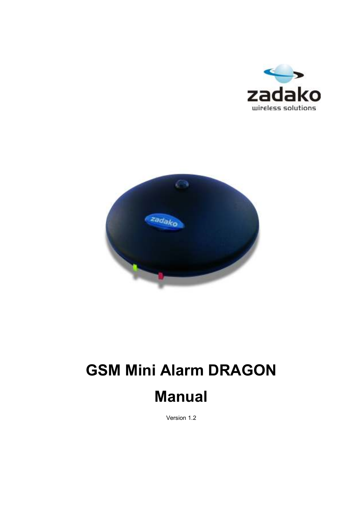



# GSM Mini Alarm DRAGON

Manual

Version 1.2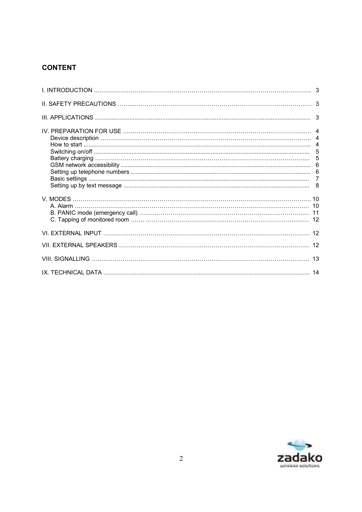# **CONTENT**

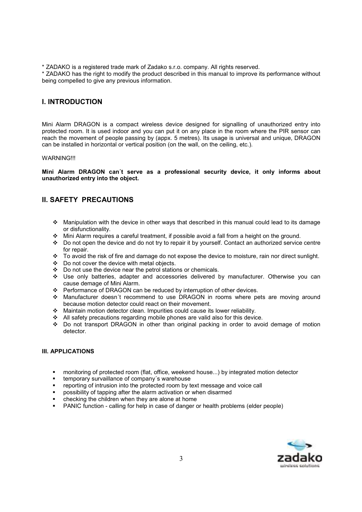\* ZADAKO is a registered trade mark of Zadako s.r.o. company. All rights reserved.

\* ZADAKO has the right to modify the product described in this manual to improve its performance without being compelled to give any previous information.

# I. INTRODUCTION

Mini Alarm DRAGON is a compact wireless device designed for signalling of unauthorized entry into protected room. It is used indoor and you can put it on any place in the room where the PIR sensor can reach the movement of people passing by (appx. 5 metres). Its usage is universal and unique, DRAGON can be installed in horizontal or vertical position (on the wall, on the ceiling, etc.).

## **WARNING!!!**

Mini Alarm DRAGON can´t serve as a professional security device, it only informs about unauthorized entry into the object.

# II. SAFETY PRECAUTIONS

- Manipulation with the device in other ways that described in this manual could lead to its damage or disfunctionality.
- Mini Alarm requires a careful treatment, if possible avoid a fall from a height on the ground.
- \* Do not open the device and do not try to repair it by yourself. Contact an authorized service centre for repair.
- \* To avoid the risk of fire and damage do not expose the device to moisture, rain nor direct sunlight.
- $\div$  Do not cover the device with metal objects.
- $\cdot \cdot$  Do not use the device near the petrol stations or chemicals.
- Use only batteries, adapter and accessories delivered by manufacturer. Otherwise you can cause demage of Mini Alarm.
- Performance of DRAGON can be reduced by interruption of other devices.
- Manufacturer doesn´t recommend to use DRAGON in rooms where pets are moving around because motion detector could react on their movement.
- Maintain motion detector clean. Impurities could cause its lower reliability.
- All safety precautions regarding mobile phones are valid also for this device.
- Do not transport DRAGON in other than original packing in order to avoid demage of motion detector.

# III. APPLICATIONS

- monitoring of protected room (flat, office, weekend house...) by integrated motion detector
- temporary survaillance of company´s warehouse
- reporting of intrusion into the protected room by text message and voice call
- possibility of tapping after the alarm activation or when disarmed
- checking the children when they are alone at home
- -PANIC function - calling for help in case of danger or health problems (elder people)

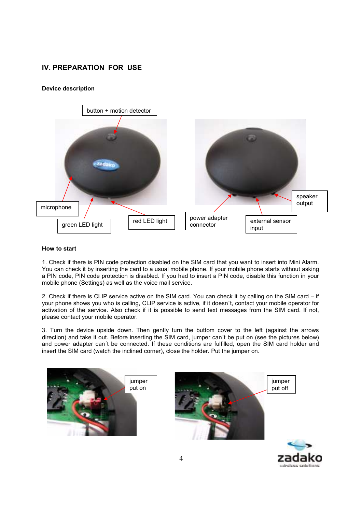# IV. PREPARATION FOR USE

# Device description



#### How to start

1. Check if there is PIN code protection disabled on the SIM card that you want to insert into Mini Alarm. You can check it by inserting the card to a usual mobile phone. If your mobile phone starts without asking a PIN code, PIN code protection is disabled. If you had to insert a PIN code, disable this function in your mobile phone (Settings) as well as the voice mail service.

2. Check if there is CLIP service active on the SIM card. You can check it by calling on the SIM card – if your phone shows you who is calling, CLIP service is active, if it doesn´t, contact your mobile operator for activation of the service. Also check if it is possible to send text messages from the SIM card. If not, please contact your mobile operator.

3. Turn the device upside down. Then gently turn the buttom cover to the left (against the arrows direction) and take it out. Before inserting the SIM card, jumper can´t be put on (see the pictures below) and power adapter can´t be connected. If these conditions are fulfilled, open the SIM card holder and insert the SIM card (watch the inclined corner), close the holder. Put the jumper on.





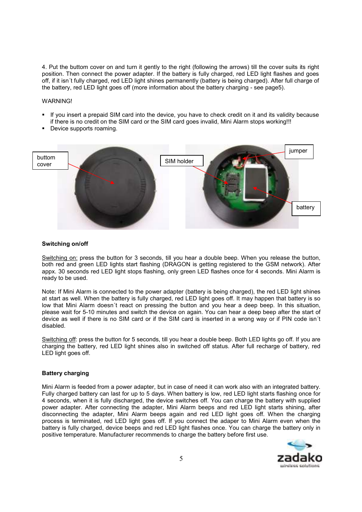4. Put the buttom cover on and turn it gently to the right (following the arrows) till the cover suits its right position. Then connect the power adapter. If the battery is fully charged, red LED light flashes and goes off, if it isn´t fully charged, red LED light shines permanently (battery is being charged). After full charge of the battery, red LED light goes off (more information about the battery charging - see page5).

## WARNING!

- - If you insert a prepaid SIM card into the device, you have to check credit on it and its validity because if there is no credit on the SIM card or the SIM card goes invalid, Mini Alarm stops working!!!
- -Device supports roaming.



#### Switching on/off

Switching on: press the button for 3 seconds, till you hear a double beep. When you release the button, both red and green LED lights start flashing (DRAGON is getting registered to the GSM network). After appx. 30 seconds red LED light stops flashing, only green LED flashes once for 4 seconds. Mini Alarm is ready to be used.

Note: If Mini Alarm is connected to the power adapter (battery is being charged), the red LED light shines at start as well. When the battery is fully charged, red LED light goes off. It may happen that battery is so low that Mini Alarm doesn´t react on pressing the button and you hear a deep beep. In this situation, please wait for 5-10 minutes and switch the device on again. You can hear a deep beep after the start of device as well if there is no SIM card or if the SIM card is inserted in a wrong way or if PIN code isn´t disabled.

Switching off: press the button for 5 seconds, till you hear a double beep. Both LED lights go off. If you are charging the battery, red LED light shines also in switched off status. After full recharge of battery, red LED light goes off.

## Battery charging

Mini Alarm is feeded from a power adapter, but in case of need it can work also with an integrated battery. Fully charged battery can last for up to 5 days. When battery is low, red LED light starts flashing once for 4 seconds, when it is fully discharged, the device switches off. You can charge the battery with supplied power adapter. After connecting the adapter, Mini Alarm beeps and red LED light starts shining, after disconnecting the adapter, Mini Alarm beeps again and red LED light goes off. When the charging process is terminated, red LED light goes off. If you connect the adaper to Mini Alarm even when the battery is fully charged, device beeps and red LED light flashes once. You can charge the battery only in positive temperature. Manufacturer recommends to charge the battery before first use.

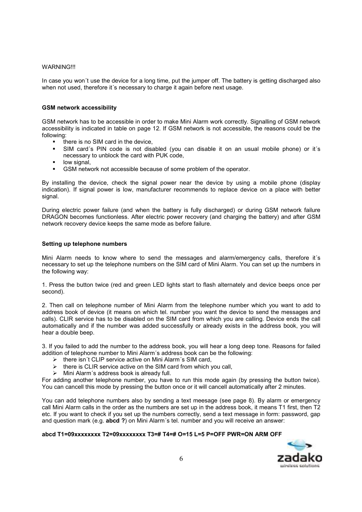#### WARNING!!!

In case you won´t use the device for a long time, put the jumper off. The battery is getting discharged also when not used, therefore it's necessary to charge it again before next usage.

## GSM network accessibility

GSM network has to be accessible in order to make Mini Alarm work correctly. Signalling of GSM network accessibility is indicated in table on page 12. If GSM network is not accessible, the reasons could be the following:

- there is no SIM card in the device,
- - SIM card´s PIN code is not disabled (you can disable it on an usual mobile phone) or it´s necessary to unblock the card with PUK code,
- low signal,
- -GSM network not accessible because of some problem of the operator.

By installing the device, check the signal power near the device by using a mobile phone (display indication). If signal power is low, manufacturer recommends to replace device on a place with better signal.

During electric power failure (and when the battery is fully discharged) or during GSM network failure DRAGON becomes functionless. After electric power recovery (and charging the battery) and after GSM network recovery device keeps the same mode as before failure.

## Setting up telephone numbers

Mini Alarm needs to know where to send the messages and alarm/emergency calls, therefore it´s necessary to set up the telephone numbers on the SIM card of Mini Alarm. You can set up the numbers in the following way:

1. Press the button twice (red and green LED lights start to flash alternately and device beeps once per second).

2. Then call on telephone number of Mini Alarm from the telephone number which you want to add to address book of device (it means on which tel. number you want the device to send the messages and calls). CLIR service has to be disabled on the SIM card from which you are calling. Device ends the call automatically and if the number was added successfully or already exists in the address book, you will hear a double beep.

3. If you failed to add the number to the address book, you will hear a long deep tone. Reasons for failed addition of telephone number to Mini Alarm´s address book can be the following:

- $\triangleright$  there isn't CLIP service active on Mini Alarm's SIM card,
- there is CLIR service active on the SIM card from which you call,
- $\triangleright$  Mini Alarm's address book is already full.

For adding another telephone number, you have to run this mode again (by pressing the button twice). You can cancell this mode by pressing the button once or it will cancell automatically after 2 minutes.

You can add telephone numbers also by sending a text meesage (see page 8). By alarm or emergency call Mini Alarm calls in the order as the numbers are set up in the address book, it means T1 first, then T2 etc. If you want to check if you set up the numbers correctly, send a text message in form: password, gap and question mark (e.g. abcd ?) on Mini Alarm's tel. number and you will receive an answer:

# abcd T1=09xxxxxxxx T2=09xxxxxxxx T3=# T4=# O=15 L=5 P=OFF PWR=ON ARM OFF

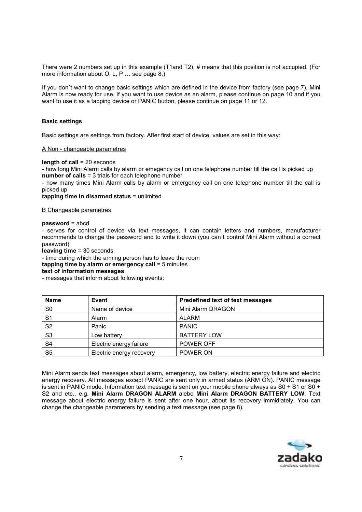There were 2 numbers set up in this example (T1and T2), # means that this position is not accupied. (For more information about O, L, P … see page 8.)

If you don´t want to change basic settings which are defined in the device from factory (see page 7), Mini Alarm is now ready for use. If you want to use device as an alarm, please continue on page 10 and if you want to use it as a tapping device or PANIC button, please continue on page 11 or 12.

#### Basic settings

Basic settings are settings from factory. After first start of device, values are set in this way:

#### A Non - changeable parametres

#### length of call = 20 seconds

- how long Mini Alarm calls by alarm or emegency call on one telephone number till the call is picked up number of calls = 3 trials for each telephone number

- how many times Mini Alarm calls by alarm or emergency call on one telephone number till the call is picked up

tapping time in disarmed status = unlimited

#### B Changeable parametres

#### password = abcd

- serves for control of device via text messages, it can contain letters and numbers, manufacturer recommends to change the password and to write it down (you can´t control Mini Alarm without a correct password)

leaving time = 30 seconds

- time during which the arming person has to leave the room

tapping time by alarm or emergency call = 5 minutes

#### text of information messages

- messages that inform about following events:

| <b>Name</b>    | Event                    | Predefined text of text messages |
|----------------|--------------------------|----------------------------------|
| S <sub>0</sub> | Name of device           | Mini Alarm DRAGON                |
| S <sub>1</sub> | Alarm                    | <b>ALARM</b>                     |
| S <sub>2</sub> | Panic                    | <b>PANIC</b>                     |
| S <sub>3</sub> | Low battery              | <b>BATTERY LOW</b>               |
| S <sub>4</sub> | Electric energy failure  | POWER OFF                        |
| S <sub>5</sub> | Electric energy recovery | POWER ON                         |

Mini Alarm sends text messages about alarm, emergency, low battery, electric energy failure and electric energy recovery. All messages except PANIC are sent only in armed status (ARM ON). PANIC message is sent in PANIC mode. Information text message is sent on your mobile phone always as S0 + S1 or S0 + S2 and etc., e.g. Mini Alarm DRAGON ALARM alebo Mini Alarm DRAGON BATTERY LOW. Text message about electric energy failure is sent after one hour, about its recovery immidiately. You can change the changeable parameters by sending a text message (see page 8).

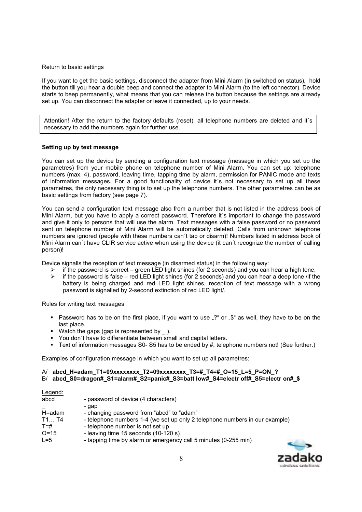#### Return to basic settings

If you want to get the basic settings, disconnect the adapter from Mini Alarm (in switched on status), hold the button till you hear a double beep and connect the adapter to Mini Alarm (to the left connector). Device starts to beep permanently, what means that you can release the button because the settings are already set up. You can disconnect the adapter or leave it connected, up to your needs.

Attention! After the return to the factory defaults (reset), all telephone numbers are deleted and it´s necessary to add the numbers again for further use.

## Setting up by text message

You can set up the device by sending a configuration text message (message in which you set up the parametres) from your mobile phone on telephone number of Mini Alarm. You can set up: telephone numbers (max. 4), password, leaving time, tapping time by alarm, permission for PANIC mode and texts of information messages. For a good functionality of device it´s not necessary to set up all these parametres, the only necessary thing is to set up the telephone numbers. The other parametres can be as basic settings from factory (see page 7).

You can send a configuration text message also from a number that is not listed in the address book of Mini Alarm, but you have to apply a correct password. Therefore it´s important to change the password and give it only to persons that will use the alarm. Text messages with a false password or no password sent on telephone number of Mini Alarm will be automatically deleted. Calls from unknown telephone numbers are ignored (people with these numbers can´t tap or disarm)! Numbers listed in address book of Mini Alarm can´t have CLIR service active when using the device (it can´t recognize the number of calling person)!

Device signalls the reception of text message (in disarmed status) in the following way:

- $\triangleright$  if the password is correct green LED light shines (for 2 seconds) and you can hear a high tone,
- if the password is false red LED light shines (for 2 seconds) and you can hear a deep tone /if the battery is being charged and red LED light shines, reception of text message with a wrong password is signalled by 2-second extinction of red LED light/.

## Rules for writing text messages

- Password has to be on the first place, if you want to use "?" or "\$" as well, they have to be on the last place.
- -Watch the gaps (gap is represented by  $\overline{\phantom{a}}$ ).
- -You don´t have to differentiate between small and capital letters.
- Text of information messages S0- S5 has to be ended by #, telephone numbers not! (See further.)

Examples of configuration message in which you want to set up all parametres:

# A/ abcd H=adam\_T1=09xxxxxxxx T2=09xxxxxxxx T3=#\_T4=#\_O=15\_L=5\_P=ON\_?

B/ abcd S0=dragon# S1=alarm# S2=panic# S3=batt low# S4=electr off# S5=electr on# \$

| - password of device (4 characters)                                                                             |  |
|-----------------------------------------------------------------------------------------------------------------|--|
| - gap<br>- changing password from "abcd" to "adam"                                                              |  |
| - telephone numbers 1-4 (we set up only 2 telephone numbers in our example)<br>- telephone number is not set up |  |
| - leaving time 15 seconds (10-120 s)<br>- tapping time by alarm or emergency call 5 minutes (0-255 min)         |  |
|                                                                                                                 |  |

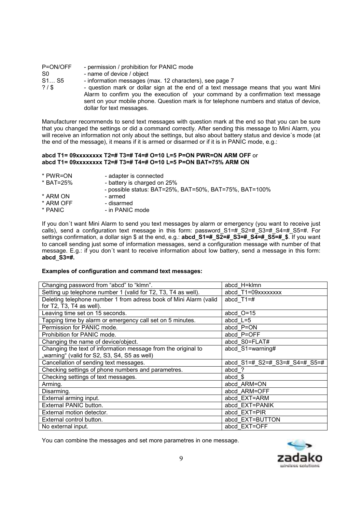| - permission / prohibition for PANIC mode                                               |
|-----------------------------------------------------------------------------------------|
| - name of device / object                                                               |
| - information messages (max. 12 characters), see page 7                                 |
| - question mark or dollar sign at the end of a text message means that you want Mini    |
| Alarm to confirm you the execution of your command by a confirmation text message       |
| sent on your mobile phone. Question mark is for telephone numbers and status of device, |
| dollar for text messages.                                                               |
|                                                                                         |

Manufacturer recommends to send text messages with question mark at the end so that you can be sure that you changed the settings or did a command correctly. After sending this message to Mini Alarm, you will receive an information not only about the settings, but also about battery status and device's mode (at the end of the message), it means if it is armed or disarmed or if it is in PANIC mode, e.g.:

## abcd T1= 09xxxxxxxx T2=# T3=# T4=# O=10 L=5 P=ON PWR=ON ARM OFF or abcd T1= 09xxxxxxxx T2=# T3=# T4=# O=10 L=5 P=ON BAT=75% ARM ON

- \* PWR=ON adapter is connected<br>\* BAT=25% battery is charged on
	- battery is charged on 25%
	- possible status: BAT=25%, BAT=50%, BAT=75%, BAT=100%
- 
- \* ARM ON armed<br>\* ARM OFF disarmed
- \* ARM OFF<br>\* PANIC - in PANIC mode

If you don´t want Mini Alarm to send you text messages by alarm or emergency (you want to receive just calls), send a configuration text message in this form: password  $S1=#S2=#S3=#S4=#S5=#$ . For settings confirmation, a dollar sign \$ at the end, e.g.:  $abcd$   $S1=$   $\#$   $S2=$   $\#$   $S3=$   $\#$   $S4=$   $\#$   $S5=$   $\#$   $\#$ . If you want to cancell sending just some of information messages, send a configuration message with number of that message. E.g.: if you don´t want to receive information about low battery, send a message in this form: abcd\_S3=#.

# Examples of configuration and command text messages:

| Changing password from "abcd" to "klmn".                          | abcd H=klmn                   |  |
|-------------------------------------------------------------------|-------------------------------|--|
| Setting up telephone number 1 (valid for T2, T3, T4 as well).     | abcd T1=09xxxxxxxx            |  |
| Deleting telephone number 1 from adress book of Mini Alarm (valid | abcd $T1 = #$                 |  |
| for T2, T3, T4 as well).                                          |                               |  |
| Leaving time set on 15 seconds.                                   | abcd $O=15$                   |  |
| Tapping time by alarm or emergency call set on 5 minutes.         | abcd $L=5$                    |  |
| Permission for PANIC mode.                                        | abcd P=ON                     |  |
| Prohibition for PANIC mode.                                       | abcd P=OFF                    |  |
| Changing the name of device/object.                               | abcd S0=FLAT#                 |  |
| Changing the text of information message from the original to     | abcd S1=warning#              |  |
| "warning" (valid for S2, S3, S4, S5 as well)                      |                               |  |
| Cancellation of sending text messages.                            | abcd S1=# S2=# S3=# S4=# S5=# |  |
| Checking settings of phone numbers and parametres.                | abcd ?                        |  |
| Checking settings of text messages.                               | abcd $$$                      |  |
| Arming.                                                           | abcd ARM=ON                   |  |
| Disarming.                                                        | abcd ARM=OFF                  |  |
| External arming input.                                            | abcd EXT=ARM                  |  |
| External PANIC button.                                            | abcd EXT=PANIK                |  |
| External motion detector.                                         | abcd EXT=PIR                  |  |
| External control button.                                          | abcd EXT=BUTTON               |  |
| No external input.                                                | abcd EXT=OFF                  |  |

You can combine the messages and set more parametres in one message.

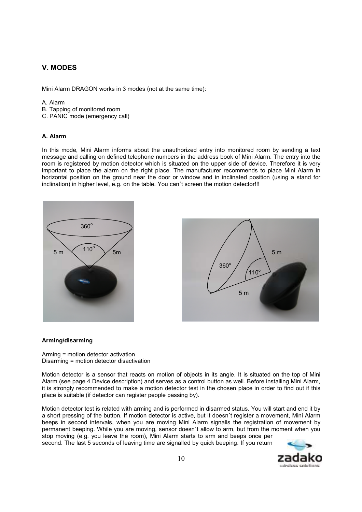# V. MODES

Mini Alarm DRAGON works in 3 modes (not at the same time):

#### A. Alarm

- B. Tapping of monitored room
- C. PANIC mode (emergency call)

## A. Alarm

In this mode, Mini Alarm informs about the unauthorized entry into monitored room by sending a text message and calling on defined telephone numbers in the address book of Mini Alarm. The entry into the room is registered by motion detector which is situated on the upper side of device. Therefore it is very important to place the alarm on the right place. The manufacturer recommends to place Mini Alarm in horizontal position on the ground near the door or window and in inclinated position (using a stand for inclination) in higher level, e.g. on the table. You can't screen the motion detector!!!





## Arming/disarming

Arming = motion detector activation Disarming = motion detector disactivation

Motion detector is a sensor that reacts on motion of objects in its angle. It is situated on the top of Mini Alarm (see page 4 Device description) and serves as a control button as well. Before installing Mini Alarm, it is strongly recommended to make a motion detector test in the chosen place in order to find out if this place is suitable (if detector can register people passing by).

Motion detector test is related with arming and is performed in disarmed status. You will start and end it by a short pressing of the button. If motion detector is active, but it doesn´t register a movement, Mini Alarm beeps in second intervals, when you are moving Mini Alarm signalls the registration of movement by permanent beeping. While you are moving, sensor doesn´t allow to arm, but from the moment when you stop moving (e.g. you leave the room), Mini Alarm starts to arm and beeps once per second. The last 5 seconds of leaving time are signalled by quick beeping. If you return

windcas solutions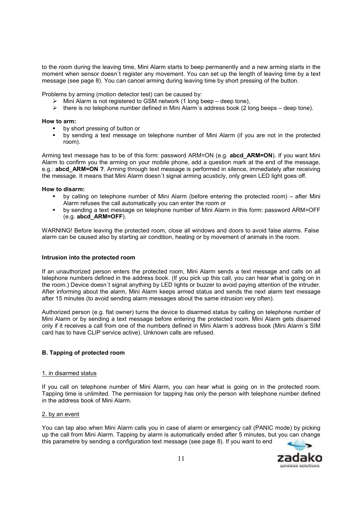to the room during the leaving time, Mini Alarm starts to beep permanently and a new arming starts in the moment when sensor doesn´t register any movement. You can set up the length of leaving time by a text message (see page 8). You can cancel arming during leaving time by short pressing of the button.

Problems by arming (motion detector test) can be caused by:

- $\triangleright$  Mini Alarm is not registered to GSM network (1 long beep deep tone).
- $\triangleright$  there is no telephone number defined in Mini Alarm's address book (2 long beeps deep tone).

#### How to arm:

- by short pressing of button or
- by sending a text message on telephone number of Mini Alarm (if you are not in the protected room).

Arming text message has to be of this form: password ARM=ON (e.g. abcd\_ARM=ON). If you want Mini Alarm to confirm you the arming on your mobile phone, add a question mark at the end of the message, e.g.: **abcd\_ARM=ON ?**. Arming through text message is performed in silence, immediately after receiving the message. It means that Mini Alarm doesn´t signal arming acusticly, only green LED light goes off.

#### How to disarm:

- by calling on telephone number of Mini Alarm (before entering the protected room) – after Mini Alarm refuses the call automatically you can enter the room or
- by sending a text message on telephone number of Mini Alarm in this form: password ARM=OFF (e.g. abcd\_ARM=OFF).

WARNING! Before leaving the protected room, close all windows and doors to avoid false alarms. False alarm can be caused also by starting air condition, heating or by movement of animals in the room.

#### Intrusion into the protected room

If an unauthorized person enters the protected room, Mini Alarm sends a text message and calls on all telephone numbers defined in the address book. (If you pick up this call, you can hear what is going on in the room.) Device doesn´t signal anything by LED lights or buzzer to avoid paying attention of the intruder. After informing about the alarm, Mini Alarm keeps armed status and sends the next alarm text message after 15 minutes (to avoid sending alarm messages about the same intrusion very often).

Authorized person (e.g. flat owner) turns the device to disarmed status by calling on telephone number of Mini Alarm or by sending a text message before entering the protected room. Mini Alarm gets disarmed only if it receives a call from one of the numbers defined in Mini Alarm´s address book (Mini Alarm´s SIM card has to have CLIP service active). Unknown calls are refused.

## B. Tapping of protected room

## 1. in disarmed status

If you call on telephone number of Mini Alarm, you can hear what is going on in the protected room. Tapping time is unlimited. The permission for tapping has only the person with telephone number defined in the address book of Mini Alarm.

## 2. by an event

You can tap also when Mini Alarm calls you in case of alarm or emergency call (PANIC mode) by picking up the call from Mini Alarm. Tapping by alarm is automatically ended after 5 minutes, but you can change this parametre by sending a configuration text message (see page 8). If you want to end

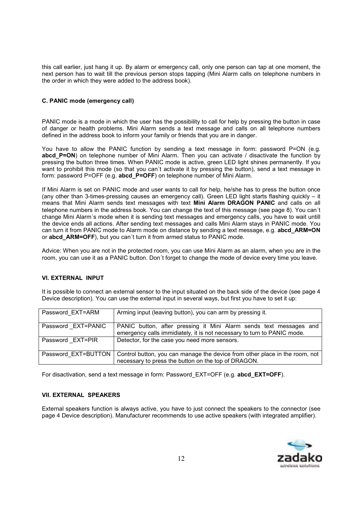this call earlier, just hang it up. By alarm or emergency call, only one person can tap at one moment, the next person has to wait till the previous person stops tapping (Mini Alarm calls on telephone numbers in the order in which they were added to the address book).

# C. PANIC mode (emergency call)

PANIC mode is a mode in which the user has the possibility to call for help by pressing the button in case of danger or health problems. Mini Alarm sends a text message and calls on all telephone numbers defined in the address book to inform your family or friends that you are in danger.

You have to allow the PANIC function by sending a text message in form: password P=ON (e.g. abcd P=ON) on telephone number of Mini Alarm. Then you can activate / disactivate the function by pressing the button three times. When PANIC mode is active, green LED light shines permanently. If you want to prohibit this mode (so that you can´t activate it by pressing the button), send a text message in form: password P=OFF (e.g. abcd\_P=OFF) on telephone number of Mini Alarm.

If Mini Alarm is set on PANIC mode and user wants to call for help, he/she has to press the button once (any other than 3-times-pressing causes an emergency call). Green LED light starts flashing quickly – it means that Mini Alarm sends text messages with text Mini Alarm DRAGON PANIC and calls on all telephone numbers in the address book. You can change the text of this message (see page 8). You can´t change Mini Alarm´s mode when it is sending text messages and emergency calls, you have to wait untill the device ends all actions. After sending text messages and calls Mini Alarm stays in PANIC mode. You can turn it from PANIC mode to Alarm mode on distance by sending a text message, e.g. abcd ARM=ON or abcd\_ARM=OFF), but you can´t turn it from armed status to PANIC mode.

Advice: When you are not in the protected room, you can use Mini Alarm as an alarm, when you are in the room, you can use it as a PANIC button. Don´t forget to change the mode of device every time you leave.

# VI. EXTERNAL INPUT

It is possible to connect an external sensor to the input situated on the back side of the device (see page 4 Device description). You can use the external input in several ways, but first you have to set it up:

| Password EXT=ARM   | Arming input (leaving button), you can arm by pressing it.                                                                                               |
|--------------------|----------------------------------------------------------------------------------------------------------------------------------------------------------|
| Password EXT=PANIC | PANIC button, after pressing it Mini Alarm sends text messages and<br>emergency calls immidiately, it is not necessary to turn to PANIC mode.            |
| Password EXT=PIR   | Detector, for the case you need more sensors.                                                                                                            |
|                    | Password EXT=BUTTON   Control button, you can manage the device from other place in the room, not<br>necessary to press the button on the top of DRAGON. |

For disactivation, send a text message in form: Password EXT=OFF (e.g. abcd EXT=OFF).

## VII. EXTERNAL SPEAKERS

External speakers function is always active, you have to just connect the speakers to the connector (see page 4 Device description). Manufacturer recommends to use active speakers (with integrated amplifier).

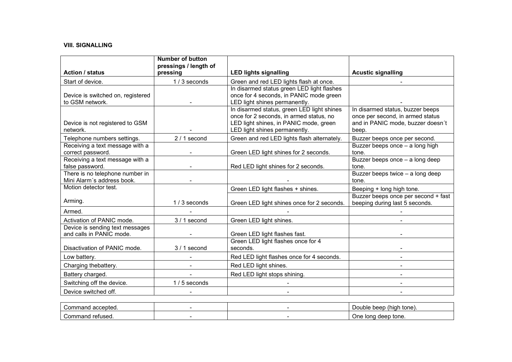# VIII. SIGNALLING

| <b>Action / status</b><br>pressing<br>Start of device.        | pressings / length of<br>1/3 seconds | <b>LED lights signalling</b>                                                                                                                                     | <b>Acustic signalling</b>                                                                                          |
|---------------------------------------------------------------|--------------------------------------|------------------------------------------------------------------------------------------------------------------------------------------------------------------|--------------------------------------------------------------------------------------------------------------------|
|                                                               |                                      |                                                                                                                                                                  |                                                                                                                    |
|                                                               |                                      | Green and red LED lights flash at once.                                                                                                                          |                                                                                                                    |
| Device is switched on, registered<br>to GSM network.          |                                      | In disarmed status green LED light flashes<br>once for 4 seconds, in PANIC mode green<br>LED light shines permanently.                                           |                                                                                                                    |
| Device is not registered to GSM<br>network.                   |                                      | In disarmed status, green LED light shines<br>once for 2 seconds, in armed status, no<br>LED light shines, in PANIC mode, green<br>LED light shines permanently. | In disarmed status, buzzer beeps<br>once per second, in armed status<br>and in PANIC mode, buzzer doesn't<br>beep. |
| Telephone numbers settings.                                   | $2/1$ second                         | Green and red LED lights flash alternately.                                                                                                                      | Buzzer beeps once per second.                                                                                      |
| Receiving a text message with a<br>correct password.          |                                      | Green LED light shines for 2 seconds.                                                                                                                            | Buzzer beeps once - a long high<br>tone.                                                                           |
| Receiving a text message with a<br>false password.            |                                      | Red LED light shines for 2 seconds.                                                                                                                              | Buzzer beeps once - a long deep<br>tone.                                                                           |
| There is no telephone number in<br>Mini Alarm's address book. |                                      |                                                                                                                                                                  | Buzzer beeps twice - a long deep<br>tone.                                                                          |
| Motion detector test.                                         |                                      | Green LED light flashes + shines.                                                                                                                                | Beeping + long high tone.                                                                                          |
| Arming.                                                       | $1/3$ seconds                        | Green LED light shines once for 2 seconds.                                                                                                                       | Buzzer beeps once per second + fast<br>beeping during last 5 seconds.                                              |
| Armed.                                                        |                                      |                                                                                                                                                                  |                                                                                                                    |
| Activation of PANIC mode.                                     | $3/1$ second                         | Green LED light shines.                                                                                                                                          |                                                                                                                    |
| Device is sending text messages<br>and calls in PANIC mode.   |                                      | Green LED light flashes fast.                                                                                                                                    |                                                                                                                    |
| Disactivation of PANIC mode.                                  | $3/1$ second                         | Green LED light flashes once for 4<br>seconds.                                                                                                                   |                                                                                                                    |
| Low battery.                                                  |                                      | Red LED light flashes once for 4 seconds.                                                                                                                        |                                                                                                                    |
| Charging thebattery.                                          |                                      | Red LED light shines.                                                                                                                                            |                                                                                                                    |
| Battery charged.                                              |                                      | Red LED light stops shining.                                                                                                                                     |                                                                                                                    |
| Switching off the device.                                     | 1 / 5 seconds                        |                                                                                                                                                                  |                                                                                                                    |
| Device switched off.                                          |                                      |                                                                                                                                                                  |                                                                                                                    |

| accepted.<br>`ommand  |  | tone).<br>beep<br>'hial.<br>Double. |
|-----------------------|--|-------------------------------------|
| `∩mmano<br>' refused. |  | deep tone.<br>One<br>Tona           |